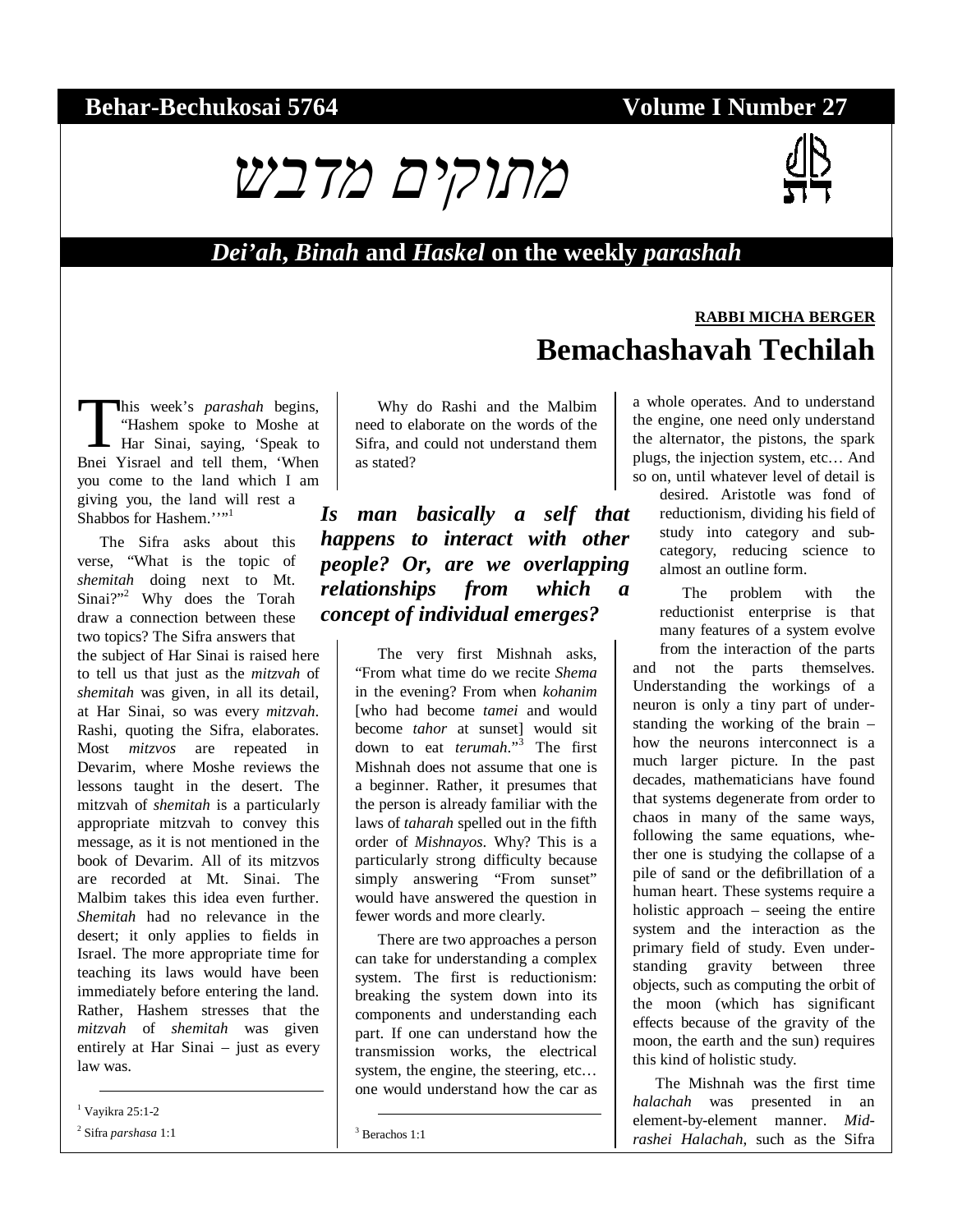### **Behar-Bechukosai 5764 Volume I Number 27**



#### *Dei'ah***,** *Binah* **and** *Haskel* **on the weekly** *parashah*

#### his week's *parashah* begins, "Hashem spoke to Moshe at Har Sinai, saying, 'Speak to This week's *parashah* begins,<br>
"Hashem spoke to Moshe at<br>
Har Sinai, saying, 'Speak to<br>
Bnei Yisrael and tell them, 'When you come to the land which I am giving you, the land will rest a Shabbos for Hashem.''"<sup>1</sup>

The Sifra asks about this verse, "What is the topic of *shemitah* doing next to Mt. Sinai?"<sup>2</sup> Why does the Torah draw a connection between these two topics? The Sifra answers that

the subject of Har Sinai is raised here to tell us that just as the *mitzvah* of *shemitah* was given, in all its detail, at Har Sinai, so was every *mitzvah*. Rashi, quoting the Sifra, elaborates. Most *mitzvos* are repeated in Devarim, where Moshe reviews the lessons taught in the desert. The mitzvah of *shemitah* is a particularly appropriate mitzvah to convey this message, as it is not mentioned in the book of Devarim. All of its mitzvos are recorded at Mt. Sinai. The Malbim takes this idea even further. *Shemitah* had no relevance in the desert; it only applies to fields in Israel. The more appropriate time for teaching its laws would have been immediately before entering the land. Rather, Hashem stresses that the *mitzvah* of *shemitah* was given entirely at Har Sinai – just as every law was.

1 Vayikra 25:1-2

2 Sifra *parshasa* 1:1

Why do Rashi and the Malbim need to elaborate on the words of the Sifra, and could not understand them as stated?

*Is man basically a self that happens to interact with other people? Or, are we overlapping relationships from which a concept of individual emerges?* 

> The very first Mishnah asks, "From what time do we recite *Shema* in the evening? From when *kohanim* [who had become *tamei* and would become *tahor* at sunset] would sit down to eat *terumah*."<sup>3</sup> The first Mishnah does not assume that one is a beginner. Rather, it presumes that the person is already familiar with the laws of *taharah* spelled out in the fifth order of *Mishnayos*. Why? This is a particularly strong difficulty because simply answering "From sunset" would have answered the question in fewer words and more clearly.

> There are two approaches a person can take for understanding a complex system. The first is reductionism: breaking the system down into its components and understanding each part. If one can understand how the transmission works, the electrical system, the engine, the steering, etc... one would understand how the car as

3 Berachos 1:1

# **RABBI MICHA BERGER Bemachashavah Techilah**

a whole operates. And to understand the engine, one need only understand the alternator, the pistons, the spark plugs, the injection system, etc… And so on, until whatever level of detail is

desired. Aristotle was fond of reductionism, dividing his field of study into category and subcategory, reducing science to almost an outline form.

The problem with the reductionist enterprise is that many features of a system evolve from the interaction of the parts

and not the parts themselves. Understanding the workings of a neuron is only a tiny part of understanding the working of the brain – how the neurons interconnect is a much larger picture. In the past decades, mathematicians have found that systems degenerate from order to chaos in many of the same ways, following the same equations, whether one is studying the collapse of a pile of sand or the defibrillation of a human heart. These systems require a holistic approach – seeing the entire system and the interaction as the primary field of study. Even understanding gravity between three objects, such as computing the orbit of the moon (which has significant effects because of the gravity of the moon, the earth and the sun) requires this kind of holistic study.

The Mishnah was the first time *halachah* was presented in an element-by-element manner. *Midrashei Halachah*, such as the Sifra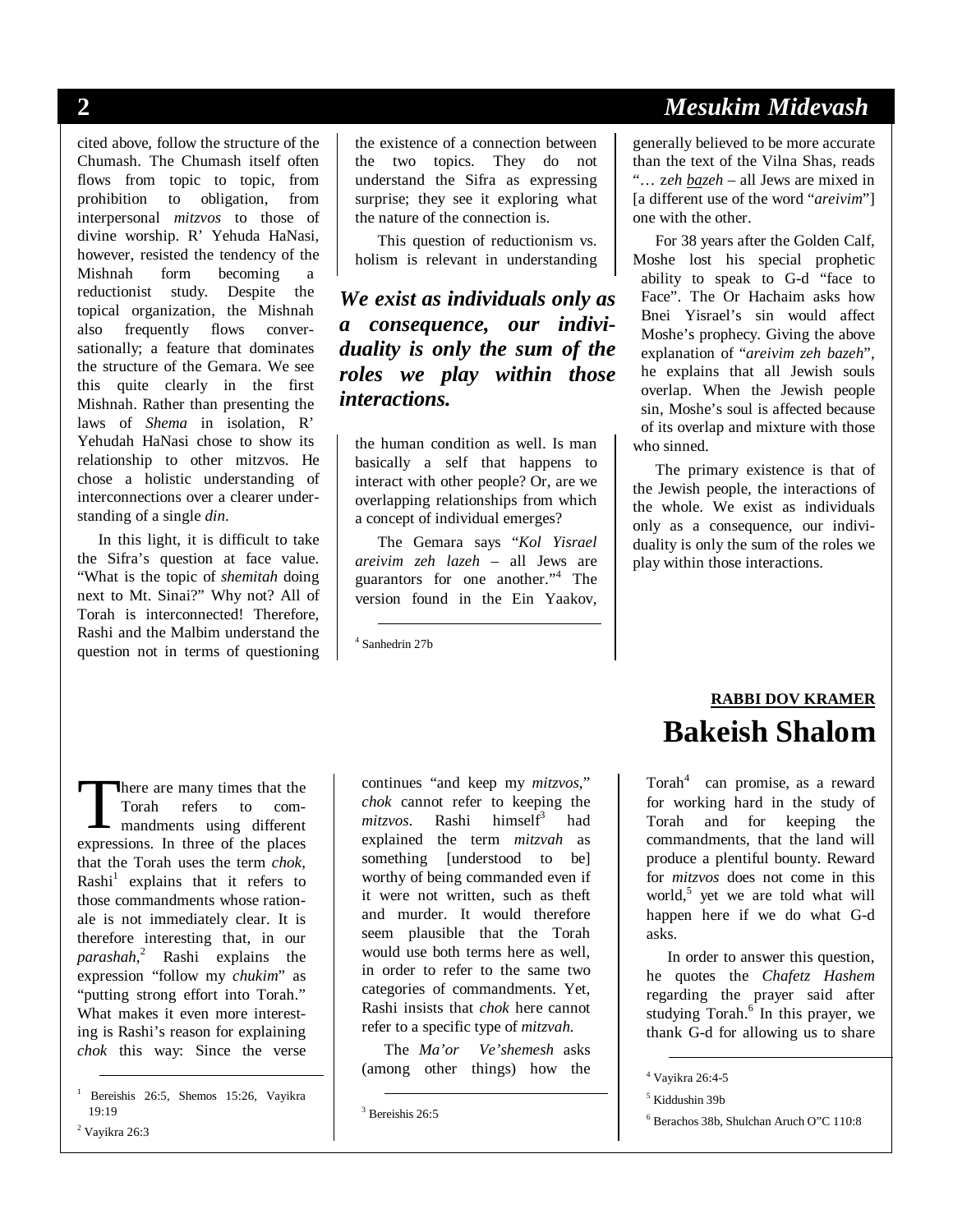cited above, follow the structure of the Chumash. The Chumash itself often flows from topic to topic, from prohibition to obligation, from interpersonal *mitzvos* to those of divine worship. R' Yehuda HaNasi, however, resisted the tendency of the Mishnah form becoming a reductionist study. Despite the topical organization, the Mishnah also frequently flows conversationally; a feature that dominates the structure of the Gemara. We see this quite clearly in the first Mishnah. Rather than presenting the laws of *Shema* in isolation, R' Yehudah HaNasi chose to show its relationship to other mitzvos. He chose a holistic understanding of interconnections over a clearer understanding of a single *din*.

In this light, it is difficult to take the Sifra's question at face value. "What is the topic of *shemitah* doing next to Mt. Sinai?" Why not? All of Torah is interconnected! Therefore, Rashi and the Malbim understand the question not in terms of questioning the existence of a connection between the two topics. They do not understand the Sifra as expressing surprise; they see it exploring what the nature of the connection is.

This question of reductionism vs. holism is relevant in understanding

*We exist as individuals only as a consequence, our individuality is only the sum of the roles we play within those interactions.*

the human condition as well. Is man basically a self that happens to interact with other people? Or, are we overlapping relationships from which a concept of individual emerges?

The Gemara says "*Kol Yisrael areivim zeh lazeh* – all Jews are guarantors for one another."<sup>4</sup> The version found in the Ein Yaakov,

4 Sanhedrin 27b

# **2** *Mesukim Midevash*

generally believed to be more accurate than the text of the Vilna Shas, reads "… z*eh bazeh* – all Jews are mixed in [a different use of the word "*areivim*"] one with the other.

For 38 years after the Golden Calf, Moshe lost his special prophetic ability to speak to G-d "face to Face". The Or Hachaim asks how Bnei Yisrael's sin would affect Moshe's prophecy. Giving the above explanation of "*areivim zeh bazeh*", he explains that all Jewish souls overlap. When the Jewish people sin, Moshe's soul is affected because of its overlap and mixture with those who sinned.

The primary existence is that of the Jewish people, the interactions of the whole. We exist as individuals only as a consequence, our individuality is only the sum of the roles we play within those interactions.

here are many times that the Torah refers to com-There are many times that the<br>Torah refers to com-<br>mandments using different<br>expressions In three of the places expressions. In three of the places that the Torah uses the term *chok*, Rashi<sup>1</sup> explains that it refers to those commandments whose rationale is not immediately clear. It is therefore interesting that, in our *parashah*, 2 Rashi explains the expression "follow my *chukim*" as "putting strong effort into Torah." What makes it even more interesting is Rashi's reason for explaining *chok* this way: Since the verse

 $2$  Vayikra 26:3

continues "and keep my *mitzvos*," *chok* cannot refer to keeping the *mitzvos*. Rashi himsel $f^3$  had explained the term *mitzvah* as something [understood to be] worthy of being commanded even if it were not written, such as theft and murder. It would therefore seem plausible that the Torah would use both terms here as well, in order to refer to the same two categories of commandments. Yet, Rashi insists that *chok* here cannot refer to a specific type of *mitzvah.*

The *Ma'or Ve'shemesh* asks (among other things) how the

# **RABBI DOV KRAMER Bakeish Shalom**

Torah<sup>4</sup> can promise, as a reward for working hard in the study of Torah and for keeping the commandments, that the land will produce a plentiful bounty. Reward for *mitzvos* does not come in this world,<sup>5</sup> yet we are told what will happen here if we do what G-d asks.

In order to answer this question, he quotes the *Chafetz Hashem* regarding the prayer said after studying Torah.<sup>6</sup> In this prayer, we thank G-d for allowing us to share

 <sup>1</sup> Bereishis 26:5, Shemos 15:26, Vayikra 19:19

 <sup>3</sup> Bereishis 26:5

 <sup>4</sup> Vayikra 26:4-5

<sup>5</sup> Kiddushin 39b

<sup>6</sup> Berachos 38b, Shulchan Aruch O"C 110:8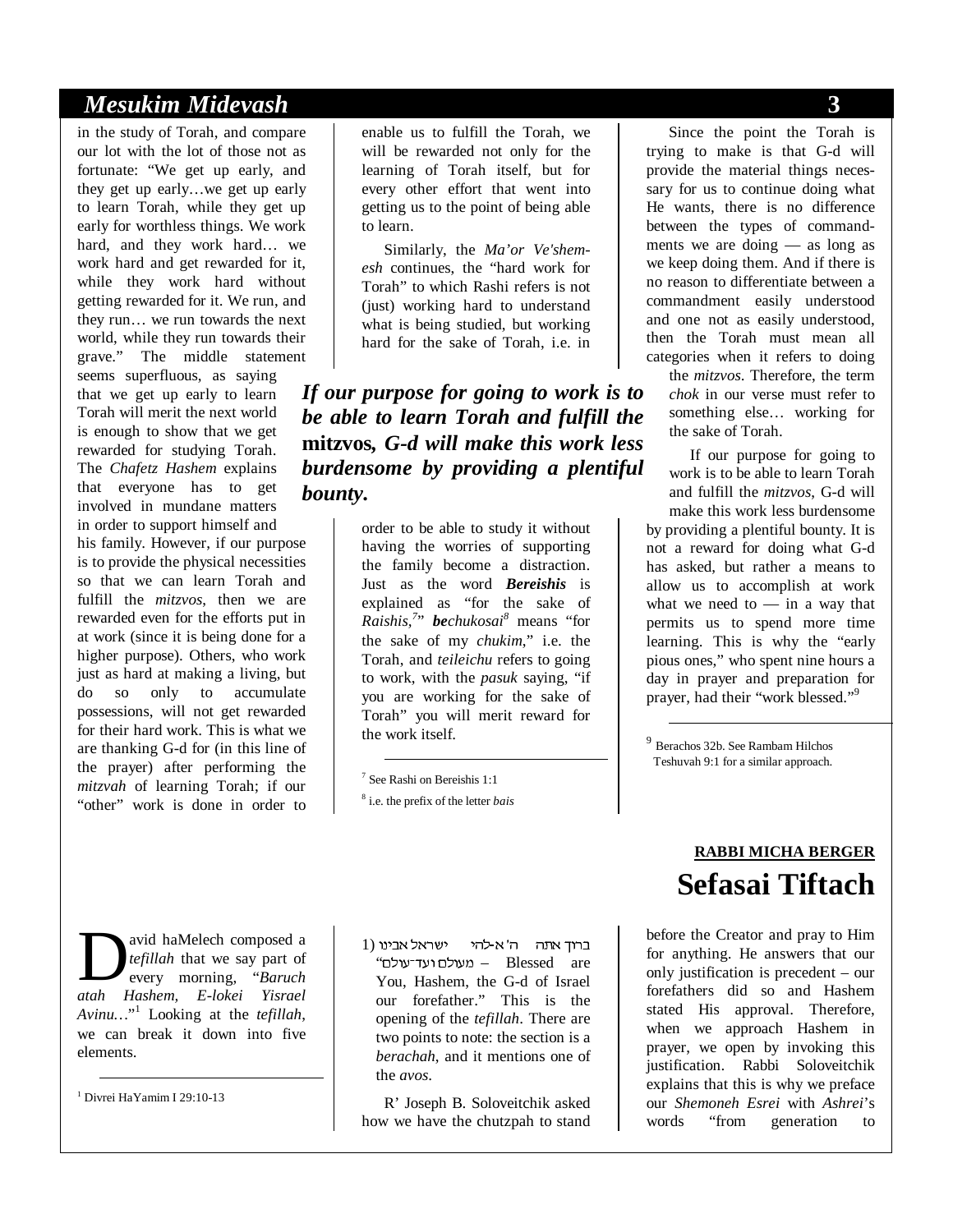#### *Mesukim Midevash* **3**

in the study of Torah, and compare our lot with the lot of those not as fortunate: "We get up early, and they get up early…we get up early to learn Torah, while they get up early for worthless things. We work hard, and they work hard… we work hard and get rewarded for it, while they work hard without getting rewarded for it. We run, and they run… we run towards the next world, while they run towards their grave." The middle statement

seems superfluous, as saying that we get up early to learn Torah will merit the next world is enough to show that we get rewarded for studying Torah. The *Chafetz Hashem* explains that everyone has to get involved in mundane matters in order to support himself and his family. However, if our purpose is to provide the physical necessities so that we can learn Torah and fulfill the *mitzvos*, then we are rewarded even for the efforts put in at work (since it is being done for a higher purpose). Others, who work just as hard at making a living, but do so only to accumulate possessions, will not get rewarded for their hard work. This is what we are thanking G-d for (in this line of the prayer) after performing the *mitzvah* of learning Torah; if our "other" work is done in order to

enable us to fulfill the Torah, we will be rewarded not only for the learning of Torah itself, but for every other effort that went into getting us to the point of being able to learn.

Similarly, the *Ma'or Ve'shemesh* continues, the "hard work for Torah" to which Rashi refers is not (just) working hard to understand what is being studied, but working hard for the sake of Torah, i.e. in

*If our purpose for going to work is to be able to learn Torah and fulfill the*  **mitzvos***, G-d will make this work less burdensome by providing a plentiful bounty.* 

> order to be able to study it without having the worries of supporting the family become a distraction. Just as the word *Bereishis* is explained as "for the sake of *Raishis,<sup>7</sup>* " *bechukosai<sup>8</sup>* means "for the sake of my *chukim*," i.e. the Torah, and *teileichu* refers to going to work, with the *pasuk* saying, "if you are working for the sake of Torah" you will merit reward for the work itself.

7 See Rashi on Bereishis 1:1

8 i.e. the prefix of the letter *bais*

avid haMelech composed a *tefillah* that we say part of every morning, "*Baruch*  **a** *atah aMelech composed a defillah* that we say part of every morning, "Baruch datah Hashem, E-lokei Yisrael *Avinu…*" 1 Looking at the *tefillah*, we can break it down into five elements.

1 Divrei HaYamim I 29:10-13

 $1$ ברוד אתה ה' א-להי ישראל אבינו "מעולם ועד־עולם – Blessed are You, Hashem, the G-d of Israel our forefather." This is the opening of the *tefillah*. There are two points to note: the section is a *berachah*, and it mentions one of the *avos*.

R' Joseph B. Soloveitchik asked how we have the chutzpah to stand

Since the point the Torah is trying to make is that G-d will provide the material things necessary for us to continue doing what He wants, there is no difference between the types of commandments we are doing — as long as we keep doing them. And if there is no reason to differentiate between a commandment easily understood and one not as easily understood, then the Torah must mean all categories when it refers to doing

the *mitzvos*. Therefore, the term *chok* in our verse must refer to something else… working for the sake of Torah.

If our purpose for going to work is to be able to learn Torah and fulfill the *mitzvos*, G-d will make this work less burdensome by providing a plentiful bounty. It is not a reward for doing what G-d has asked, but rather a means to allow us to accomplish at work what we need to  $-$  in a way that permits us to spend more time learning. This is why the "early pious ones," who spent nine hours a day in prayer and preparation for prayer, had their "work blessed."<sup>9</sup>

<sup>9</sup> Berachos 32b. See Rambam Hilchos Teshuvah 9:1 for a similar approach.

 $\overline{a}$ 

# **RABBI MICHA BERGER Sefasai Tiftach**

before the Creator and pray to Him for anything. He answers that our only justification is precedent – our forefathers did so and Hashem stated His approval. Therefore, when we approach Hashem in prayer, we open by invoking this justification. Rabbi Soloveitchik explains that this is why we preface our *Shemoneh Esrei* with *Ashrei*'s words "from generation to